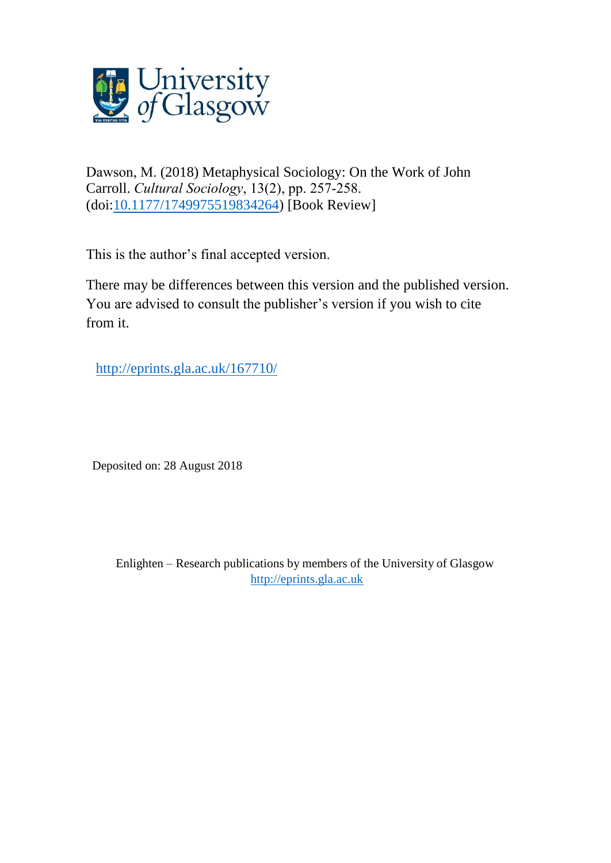

Dawson, M. (2018) Metaphysical Sociology: On the Work of John Carroll. *Cultural Sociology*, 13(2), pp. 257-258. (doi[:10.1177/1749975519834264\)](http://dx.doi.org/10.1177/1749975519834264) [Book Review]

This is the author's final accepted version.

There may be differences between this version and the published version. You are advised to consult the publisher's version if you wish to cite from it.

<http://eprints.gla.ac.uk/167710/>

Deposited on: 28 August 2018

Enlighten – Research publications by members of the University of Glasgow [http://eprints.gla.ac.uk](http://eprints.gla.ac.uk/)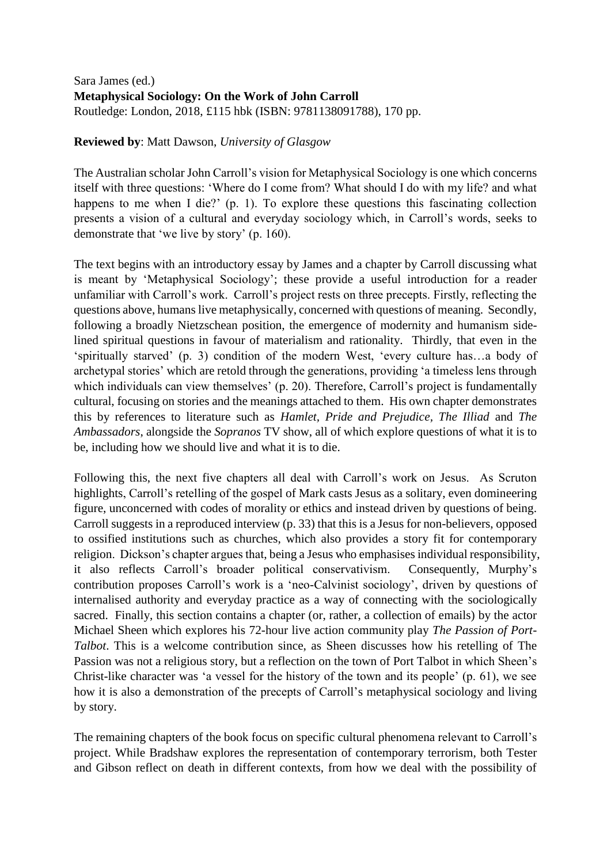## Sara James (ed.) **Metaphysical Sociology: On the Work of John Carroll** Routledge: London, 2018, £115 hbk (ISBN: 9781138091788), 170 pp.

## **Reviewed by**: Matt Dawson, *University of Glasgow*

The Australian scholar John Carroll's vision for Metaphysical Sociology is one which concerns itself with three questions: 'Where do I come from? What should I do with my life? and what happens to me when I die?' (p. 1). To explore these questions this fascinating collection presents a vision of a cultural and everyday sociology which, in Carroll's words, seeks to demonstrate that 'we live by story' (p. 160).

The text begins with an introductory essay by James and a chapter by Carroll discussing what is meant by 'Metaphysical Sociology'; these provide a useful introduction for a reader unfamiliar with Carroll's work. Carroll's project rests on three precepts. Firstly, reflecting the questions above, humans live metaphysically, concerned with questions of meaning. Secondly, following a broadly Nietzschean position, the emergence of modernity and humanism sidelined spiritual questions in favour of materialism and rationality. Thirdly, that even in the 'spiritually starved' (p. 3) condition of the modern West, 'every culture has…a body of archetypal stories' which are retold through the generations, providing 'a timeless lens through which individuals can view themselves' (p. 20). Therefore, Carroll's project is fundamentally cultural, focusing on stories and the meanings attached to them. His own chapter demonstrates this by references to literature such as *Hamlet, Pride and Prejudice, The Illiad* and *The Ambassadors*, alongside the *Sopranos* TV show, all of which explore questions of what it is to be, including how we should live and what it is to die.

Following this, the next five chapters all deal with Carroll's work on Jesus. As Scruton highlights, Carroll's retelling of the gospel of Mark casts Jesus as a solitary, even domineering figure, unconcerned with codes of morality or ethics and instead driven by questions of being. Carroll suggests in a reproduced interview (p. 33) that this is a Jesus for non-believers, opposed to ossified institutions such as churches, which also provides a story fit for contemporary religion. Dickson's chapter argues that, being a Jesus who emphasises individual responsibility, it also reflects Carroll's broader political conservativism. Consequently, Murphy's contribution proposes Carroll's work is a 'neo-Calvinist sociology', driven by questions of internalised authority and everyday practice as a way of connecting with the sociologically sacred. Finally, this section contains a chapter (or, rather, a collection of emails) by the actor Michael Sheen which explores his 72-hour live action community play *The Passion of Port-Talbot*. This is a welcome contribution since, as Sheen discusses how his retelling of The Passion was not a religious story, but a reflection on the town of Port Talbot in which Sheen's Christ-like character was 'a vessel for the history of the town and its people' (p. 61), we see how it is also a demonstration of the precepts of Carroll's metaphysical sociology and living by story.

The remaining chapters of the book focus on specific cultural phenomena relevant to Carroll's project. While Bradshaw explores the representation of contemporary terrorism, both Tester and Gibson reflect on death in different contexts, from how we deal with the possibility of